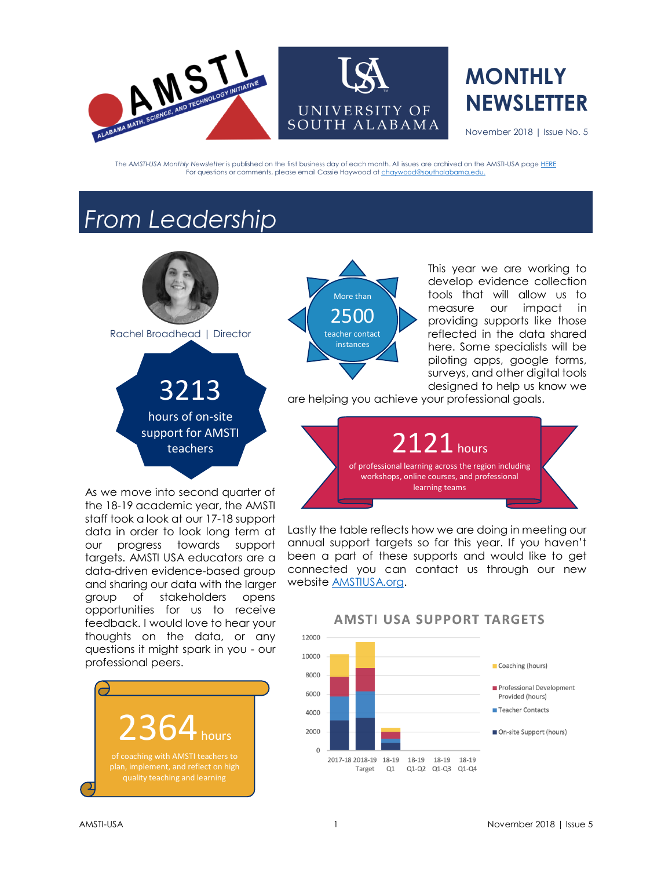

## **MONTHLY NEWSLETTER**

November 2018 | Issue No. 5

The *AMSTI-USA Monthly Newsletter* is published on the first business day of each month. All issues are archived on the AMSTI-USA pag[e HERE](https://www.amstiusa.org/newsletter) For questions or comments, please email Cassie Haywood a[t chaywood@southalabama.edu.](mailto:chaywood@southalabama.edu)

## *From Leadership*



Rachel Broadhead | Director

3213 hours of on-site support for AMSTI teachers

As we move into second quarter of the 18-19 academic year, the AMSTI staff took a look at our 17-18 support data in order to look long term at our progress towards support targets. AMSTI USA educators are a data-driven evidence-based group and sharing our data with the larger group of stakeholders opens opportunities for us to receive feedback. I would love to hear your thoughts on the data, or any questions it might spark in you - our professional peers.





This year we are working to develop evidence collection tools that will allow us to measure our impact in providing supports like those reflected in the data shared here. Some specialists will be piloting apps, google forms, surveys, and other digital tools designed to help us know we

are helping you achieve your professional goals.



Lastly the table reflects how we are doing in meeting our annual support targets so far this year. If you haven't been a part of these supports and would like to get connected you can contact us through our new website [AMSTIUSA.org.](http://amstiusa.org/)



#### **AMSTI USA SUPPORT TARGETS**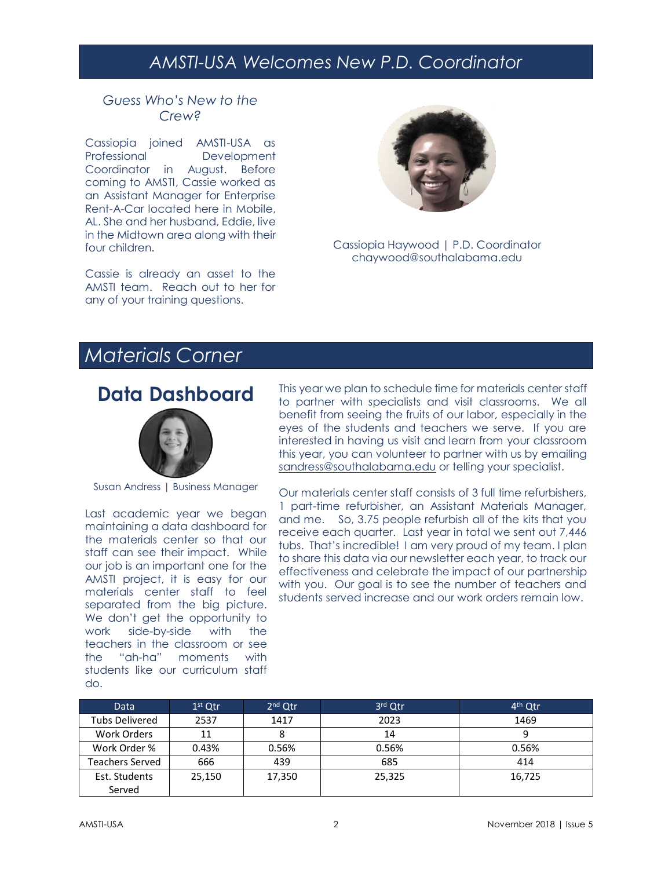### *AMSTI-USA Welcomes New P.D. Coordinator*

#### *Guess Who's New to the Crew?*

Cassiopia joined AMSTI-USA as Professional Development Coordinator in August. Before coming to AMSTI, Cassie worked as an Assistant Manager for Enterprise Rent-A-Car located here in Mobile, AL. She and her husband, Eddie, live in the Midtown area along with their four children.

Cassie is already an asset to the AMSTI team. Reach out to her for any of your training questions.



Cassiopia Haywood | P.D. Coordinator chaywood@southalabama.edu

## *Materials Corner*

### **Data Dashboard**



Susan Andress | Business Manager

Last academic year we began maintaining a data dashboard for the materials center so that our staff can see their impact. While our job is an important one for the AMSTI project, it is easy for our materials center staff to feel separated from the big picture. We don't get the opportunity to work side-by-side with the teachers in the classroom or see the "ah-ha" moments with students like our curriculum staff do.

This year we plan to schedule time for materials center staff to partner with specialists and visit classrooms. We all benefit from seeing the fruits of our labor, especially in the eyes of the students and teachers we serve. If you are interested in having us visit and learn from your classroom this year, you can volunteer to partner with us by emailing [sandress@southalabama.edu](mailto:sandress@southalabama.edu) or telling your specialist.

Our materials center staff consists of 3 full time refurbishers, 1 part-time refurbisher, an Assistant Materials Manager, and me. So, 3.75 people refurbish all of the kits that you receive each quarter. Last year in total we sent out 7,446 tubs. That's incredible! I am very proud of my team. I plan to share this data via our newsletter each year, to track our effectiveness and celebrate the impact of our partnership with you. Our goal is to see the number of teachers and students served increase and our work orders remain low.

| Data                  | $1st$ Qtr | $2nd$ Qtr | 3rd Qtr | 4 <sup>th</sup> Qtr |
|-----------------------|-----------|-----------|---------|---------------------|
| <b>Tubs Delivered</b> | 2537      | 1417      | 2023    | 1469                |
| Work Orders           | 11        |           | 14      |                     |
| Work Order %          | 0.43%     | 0.56%     | 0.56%   | 0.56%               |
| Teachers Served       | 666       | 439       | 685     | 414                 |
| Est. Students         | 25,150    | 17,350    | 25,325  | 16,725              |
| Served                |           |           |         |                     |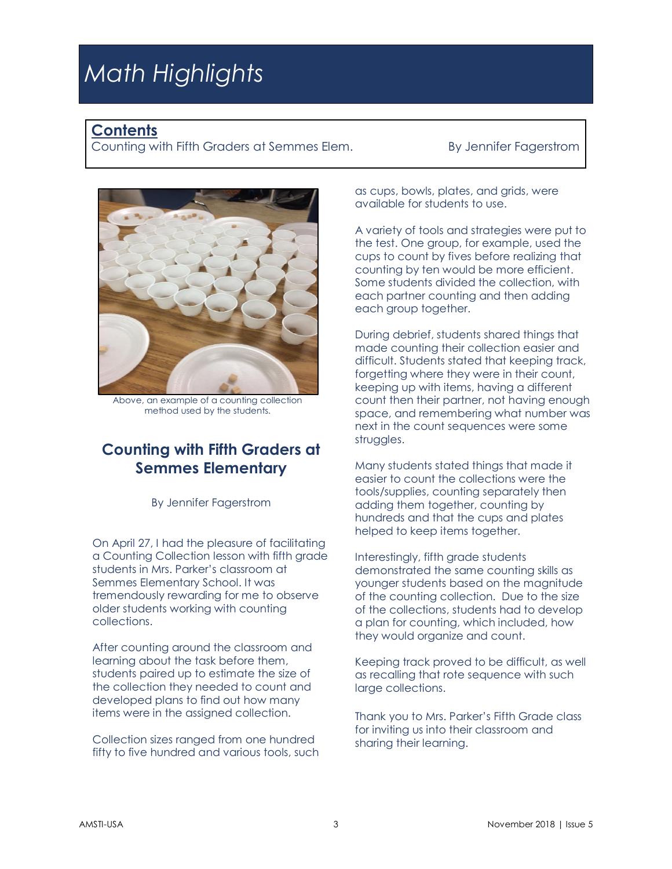# *Math Highlights*

#### **Contents**

Counting with Fifth Graders at Semmes Elem. By Jennifer Fagerstrom



Above, an example of a counting collection method used by the students.

#### **Counting with Fifth Graders at Semmes Elementary**

By Jennifer Fagerstrom

On April 27, I had the pleasure of facilitating a Counting Collection lesson with fifth grade students in Mrs. Parker's classroom at Semmes Elementary School. It was tremendously rewarding for me to observe older students working with counting collections.

After counting around the classroom and learning about the task before them, students paired up to estimate the size of the collection they needed to count and developed plans to find out how many items were in the assigned collection.

Collection sizes ranged from one hundred fifty to five hundred and various tools, such as cups, bowls, plates, and grids, were available for students to use.

A variety of tools and strategies were put to the test. One group, for example, used the cups to count by fives before realizing that counting by ten would be more efficient. Some students divided the collection, with each partner counting and then adding each group together.

During debrief, students shared things that made counting their collection easier and difficult. Students stated that keeping track, forgetting where they were in their count, keeping up with items, having a different count then their partner, not having enough space, and remembering what number was next in the count sequences were some struggles.

Many students stated things that made it easier to count the collections were the tools/supplies, counting separately then adding them together, counting by hundreds and that the cups and plates helped to keep items together.

Interestingly, fifth grade students demonstrated the same counting skills as younger students based on the magnitude of the counting collection. Due to the size of the collections, students had to develop a plan for counting, which included, how they would organize and count.

Keeping track proved to be difficult, as well as recalling that rote sequence with such large collections.

Thank you to Mrs. Parker's Fifth Grade class for inviting us into their classroom and sharing their learning.